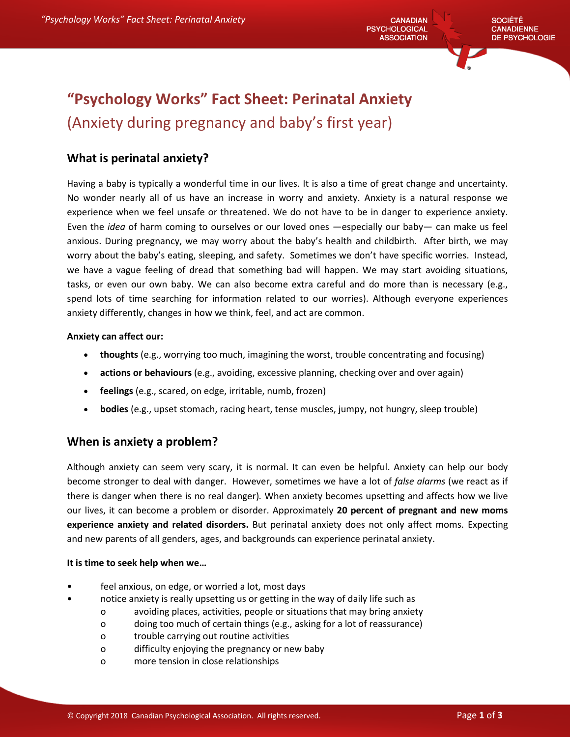# **"Psychology Works" Fact Sheet: Perinatal Anxiety**  (Anxiety during pregnancy and baby's first year)

## **What is perinatal anxiety?**

Having a baby is typically a wonderful time in our lives. It is also a time of great change and uncertainty. No wonder nearly all of us have an increase in worry and anxiety. Anxiety is a natural response we experience when we feel unsafe or threatened. We do not have to be in danger to experience anxiety. Even the *idea* of harm coming to ourselves or our loved ones —especially our baby— can make us feel anxious. During pregnancy, we may worry about the baby's health and childbirth. After birth, we may worry about the baby's eating, sleeping, and safety. Sometimes we don't have specific worries. Instead, we have a vague feeling of dread that something bad will happen. We may start avoiding situations, tasks, or even our own baby. We can also become extra careful and do more than is necessary (e.g., spend lots of time searching for information related to our worries). Although everyone experiences anxiety differently, changes in how we think, feel, and act are common.

#### **Anxiety can affect our:**

- **thoughts** (e.g., worrying too much, imagining the worst, trouble concentrating and focusing)
- **actions or behaviours** (e.g., avoiding, excessive planning, checking over and over again)
- **feelings** (e.g., scared, on edge, irritable, numb, frozen)
- **bodies** (e.g., upset stomach, racing heart, tense muscles, jumpy, not hungry, sleep trouble)

## **When is anxiety a problem?**

Although anxiety can seem very scary, it is normal. It can even be helpful. Anxiety can help our body become stronger to deal with danger. However, sometimes we have a lot of *false alarms* (we react as if there is danger when there is no real danger)*.* When anxiety becomes upsetting and affects how we live our lives, it can become a problem or disorder. Approximately **20 percent of pregnant and new moms experience anxiety and related disorders.** But perinatal anxiety does not only affect moms. Expecting and new parents of all genders, ages, and backgrounds can experience perinatal anxiety.

#### **It is time to seek help when we…**

- feel anxious, on edge, or worried a lot, most days
	- notice anxiety is really upsetting us or getting in the way of daily life such as
		- o avoiding places, activities, people or situations that may bring anxiety
		- o doing too much of certain things (e.g., asking for a lot of reassurance)
		- o trouble carrying out routine activities
		- o difficulty enjoying the pregnancy or new baby
		- o more tension in close relationships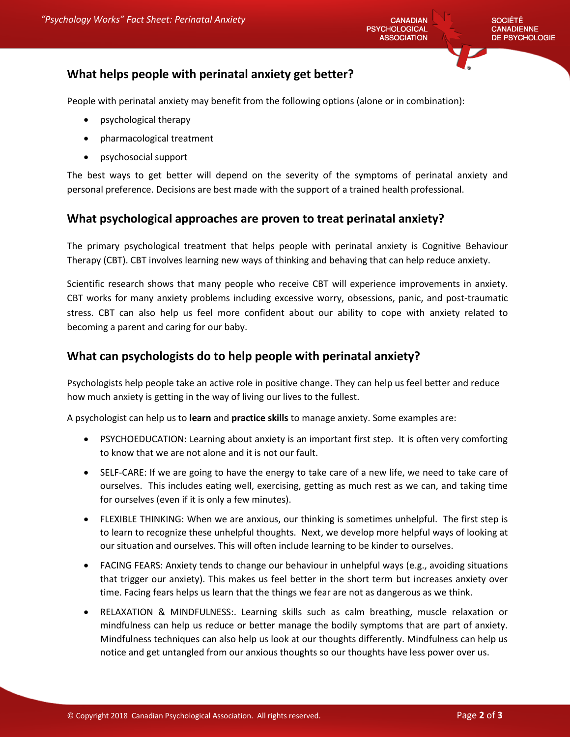# **What helps people with perinatal anxiety get better?**

People with perinatal anxiety may benefit from the following options (alone or in combination):

- psychological therapy
- pharmacological treatment
- psychosocial support

The best ways to get better will depend on the severity of the symptoms of perinatal anxiety and personal preference. Decisions are best made with the support of a trained health professional.

### **What psychological approaches are proven to treat perinatal anxiety?**

The primary psychological treatment that helps people with perinatal anxiety is Cognitive Behaviour Therapy (CBT). CBT involves learning new ways of thinking and behaving that can help reduce anxiety.

Scientific research shows that many people who receive CBT will experience improvements in anxiety. CBT works for many anxiety problems including excessive worry, obsessions, panic, and post-traumatic stress. CBT can also help us feel more confident about our ability to cope with anxiety related to becoming a parent and caring for our baby.

# **What can psychologists do to help people with perinatal anxiety?**

Psychologists help people take an active role in positive change. They can help us feel better and reduce how much anxiety is getting in the way of living our lives to the fullest.

A psychologist can help us to **learn** and **practice skills** to manage anxiety. Some examples are:

- PSYCHOEDUCATION: Learning about anxiety is an important first step. It is often very comforting to know that we are not alone and it is not our fault.
- SELF-CARE: If we are going to have the energy to take care of a new life, we need to take care of ourselves. This includes eating well, exercising, getting as much rest as we can, and taking time for ourselves (even if it is only a few minutes).
- FLEXIBLE THINKING: When we are anxious, our thinking is sometimes unhelpful. The first step is to learn to recognize these unhelpful thoughts. Next, we develop more helpful ways of looking at our situation and ourselves. This will often include learning to be kinder to ourselves.
- FACING FEARS: Anxiety tends to change our behaviour in unhelpful ways (e.g., avoiding situations that trigger our anxiety). This makes us feel better in the short term but increases anxiety over time. Facing fears helps us learn that the things we fear are not as dangerous as we think.
- RELAXATION & MINDFULNESS:. Learning skills such as calm breathing, muscle relaxation or mindfulness can help us reduce or better manage the bodily symptoms that are part of anxiety. Mindfulness techniques can also help us look at our thoughts differently. Mindfulness can help us notice and get untangled from our anxious thoughts so our thoughts have less power over us.